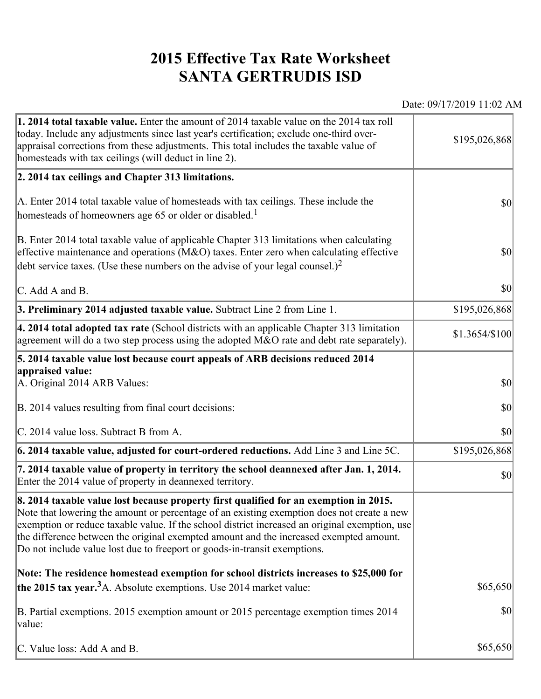## **2015 Effective Tax Rate Worksheet SANTA GERTRUDIS ISD**

Date: 09/17/2019 11:02 AM

| <b>1. 2014 total taxable value.</b> Enter the amount of 2014 taxable value on the 2014 tax roll<br>today. Include any adjustments since last year's certification; exclude one-third over-<br>appraisal corrections from these adjustments. This total includes the taxable value of<br>homesteads with tax ceilings (will deduct in line 2).                                                                                                                | \$195,026,868  |
|--------------------------------------------------------------------------------------------------------------------------------------------------------------------------------------------------------------------------------------------------------------------------------------------------------------------------------------------------------------------------------------------------------------------------------------------------------------|----------------|
| 2. 2014 tax ceilings and Chapter 313 limitations.                                                                                                                                                                                                                                                                                                                                                                                                            |                |
| A. Enter 2014 total taxable value of homesteads with tax ceilings. These include the<br>homesteads of homeowners age 65 or older or disabled. <sup>1</sup>                                                                                                                                                                                                                                                                                                   | $ 10\rangle$   |
| B. Enter 2014 total taxable value of applicable Chapter 313 limitations when calculating<br>effective maintenance and operations ( $M&O$ ) taxes. Enter zero when calculating effective<br>debt service taxes. (Use these numbers on the advise of your legal counsel.) <sup>2</sup>                                                                                                                                                                         | $ 10\rangle$   |
| $\mathcal{C}$ . Add A and B.                                                                                                                                                                                                                                                                                                                                                                                                                                 | $ 10\rangle$   |
| 3. Preliminary 2014 adjusted taxable value. Subtract Line 2 from Line 1.                                                                                                                                                                                                                                                                                                                                                                                     | \$195,026,868  |
| 4. 2014 total adopted tax rate (School districts with an applicable Chapter 313 limitation<br>agreement will do a two step process using the adopted $M&O$ rate and debt rate separately).                                                                                                                                                                                                                                                                   | \$1.3654/\$100 |
| 5. 2014 taxable value lost because court appeals of ARB decisions reduced 2014                                                                                                                                                                                                                                                                                                                                                                               |                |
| appraised value:<br>A. Original 2014 ARB Values:                                                                                                                                                                                                                                                                                                                                                                                                             | $ 10\rangle$   |
| B. 2014 values resulting from final court decisions:                                                                                                                                                                                                                                                                                                                                                                                                         | \$0            |
| C. 2014 value loss. Subtract B from A.                                                                                                                                                                                                                                                                                                                                                                                                                       | $ 10\rangle$   |
| $\vert$ 6. 2014 taxable value, adjusted for court-ordered reductions. Add Line 3 and Line 5C.                                                                                                                                                                                                                                                                                                                                                                | \$195,026,868  |
| 7. 2014 taxable value of property in territory the school deannexed after Jan. 1, 2014.<br>Enter the 2014 value of property in deannexed territory.                                                                                                                                                                                                                                                                                                          | $ 10\rangle$   |
| 8. 2014 taxable value lost because property first qualified for an exemption in 2015.<br>Note that lowering the amount or percentage of an existing exemption does not create a new<br>exemption or reduce taxable value. If the school district increased an original exemption, use<br>the difference between the original exempted amount and the increased exempted amount.<br>Do not include value lost due to freeport or goods-in-transit exemptions. |                |
| Note: The residence homestead exemption for school districts increases to \$25,000 for                                                                                                                                                                                                                                                                                                                                                                       |                |
| the 2015 tax year. <sup>3</sup> A. Absolute exemptions. Use 2014 market value:                                                                                                                                                                                                                                                                                                                                                                               | \$65,650       |
| B. Partial exemptions. 2015 exemption amount or 2015 percentage exemption times 2014<br>value:                                                                                                                                                                                                                                                                                                                                                               | $ 10\rangle$   |
| C. Value loss: Add A and B.                                                                                                                                                                                                                                                                                                                                                                                                                                  | \$65,650       |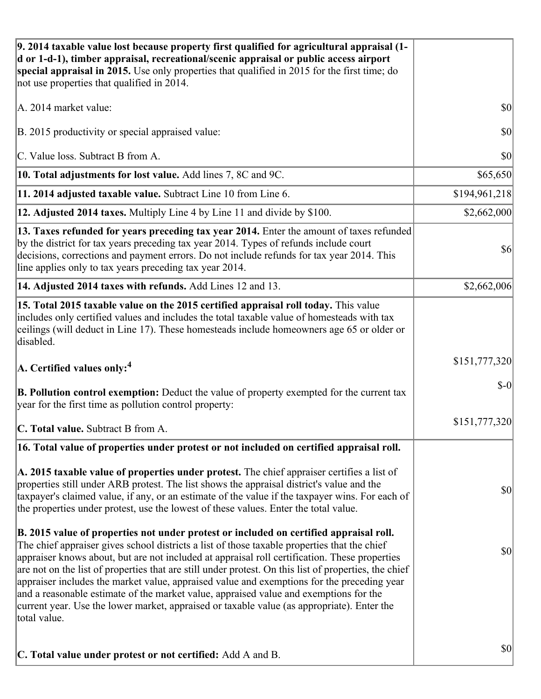| 9. 2014 taxable value lost because property first qualified for agricultural appraisal (1-<br>d or 1-d-1), timber appraisal, recreational/scenic appraisal or public access airport<br>special appraisal in 2015. Use only properties that qualified in 2015 for the first time; do<br>not use properties that qualified in 2014.                                                                                                                                                                                                                                                                                                                                                                     |               |
|-------------------------------------------------------------------------------------------------------------------------------------------------------------------------------------------------------------------------------------------------------------------------------------------------------------------------------------------------------------------------------------------------------------------------------------------------------------------------------------------------------------------------------------------------------------------------------------------------------------------------------------------------------------------------------------------------------|---------------|
| A. 2014 market value:                                                                                                                                                                                                                                                                                                                                                                                                                                                                                                                                                                                                                                                                                 | \$0           |
| B. 2015 productivity or special appraised value:                                                                                                                                                                                                                                                                                                                                                                                                                                                                                                                                                                                                                                                      | 30            |
| C. Value loss. Subtract B from A.                                                                                                                                                                                                                                                                                                                                                                                                                                                                                                                                                                                                                                                                     | \$0           |
| 10. Total adjustments for lost value. Add lines 7, 8C and 9C.                                                                                                                                                                                                                                                                                                                                                                                                                                                                                                                                                                                                                                         | \$65,650      |
| 11. 2014 adjusted taxable value. Subtract Line 10 from Line 6.                                                                                                                                                                                                                                                                                                                                                                                                                                                                                                                                                                                                                                        | \$194,961,218 |
| 12. Adjusted 2014 taxes. Multiply Line 4 by Line 11 and divide by \$100.                                                                                                                                                                                                                                                                                                                                                                                                                                                                                                                                                                                                                              | \$2,662,000   |
| 13. Taxes refunded for years preceding tax year 2014. Enter the amount of taxes refunded<br>by the district for tax years preceding tax year 2014. Types of refunds include court<br>decisions, corrections and payment errors. Do not include refunds for tax year 2014. This<br>line applies only to tax years preceding tax year 2014.                                                                                                                                                                                                                                                                                                                                                             | $\sqrt{6}$    |
| 14. Adjusted 2014 taxes with refunds. Add Lines 12 and 13.                                                                                                                                                                                                                                                                                                                                                                                                                                                                                                                                                                                                                                            | \$2,662,006   |
| 15. Total 2015 taxable value on the 2015 certified appraisal roll today. This value<br>includes only certified values and includes the total taxable value of homesteads with tax<br>ceilings (will deduct in Line 17). These homesteads include homeowners age 65 or older or<br>disabled.                                                                                                                                                                                                                                                                                                                                                                                                           |               |
| $\vert$ A. Certified values only: <sup>4</sup>                                                                                                                                                                                                                                                                                                                                                                                                                                                                                                                                                                                                                                                        | \$151,777,320 |
| <b>B. Pollution control exemption:</b> Deduct the value of property exempted for the current tax<br>year for the first time as pollution control property:                                                                                                                                                                                                                                                                                                                                                                                                                                                                                                                                            | $$-0$         |
| C. Total value. Subtract B from A.                                                                                                                                                                                                                                                                                                                                                                                                                                                                                                                                                                                                                                                                    | \$151,777,320 |
| 16. Total value of properties under protest or not included on certified appraisal roll.                                                                                                                                                                                                                                                                                                                                                                                                                                                                                                                                                                                                              |               |
| A. 2015 taxable value of properties under protest. The chief appraiser certifies a list of<br>properties still under ARB protest. The list shows the appraisal district's value and the<br>taxpayer's claimed value, if any, or an estimate of the value if the taxpayer wins. For each of<br>the properties under protest, use the lowest of these values. Enter the total value.                                                                                                                                                                                                                                                                                                                    | \$0           |
| B. 2015 value of properties not under protest or included on certified appraisal roll.<br>The chief appraiser gives school districts a list of those taxable properties that the chief<br>appraiser knows about, but are not included at appraisal roll certification. These properties<br>are not on the list of properties that are still under protest. On this list of properties, the chief<br>appraiser includes the market value, appraised value and exemptions for the preceding year<br>and a reasonable estimate of the market value, appraised value and exemptions for the<br>current year. Use the lower market, appraised or taxable value (as appropriate). Enter the<br>total value. | \$0           |
| C. Total value under protest or not certified: Add A and B.                                                                                                                                                                                                                                                                                                                                                                                                                                                                                                                                                                                                                                           | \$0           |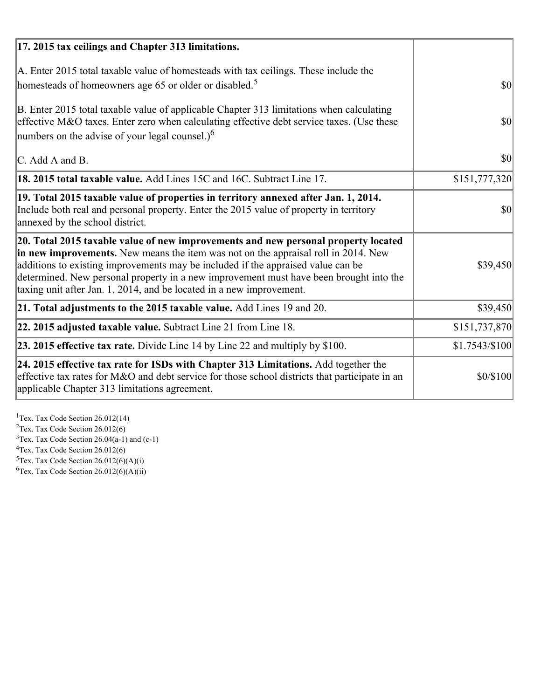| 17. 2015 tax ceilings and Chapter 313 limitations.                                                                                                                                                                                                                                                                                                                                                                             |                |
|--------------------------------------------------------------------------------------------------------------------------------------------------------------------------------------------------------------------------------------------------------------------------------------------------------------------------------------------------------------------------------------------------------------------------------|----------------|
| A. Enter 2015 total taxable value of homesteads with tax ceilings. These include the<br>homesteads of homeowners age 65 or older or disabled. <sup>5</sup>                                                                                                                                                                                                                                                                     | <b>\$0</b>     |
| B. Enter 2015 total taxable value of applicable Chapter 313 limitations when calculating<br>effective M&O taxes. Enter zero when calculating effective debt service taxes. (Use these<br>numbers on the advise of your legal counsel.) $6$                                                                                                                                                                                     | $ 10\rangle$   |
| C. Add A and B.                                                                                                                                                                                                                                                                                                                                                                                                                | $ 10\rangle$   |
| <b>18. 2015 total taxable value.</b> Add Lines 15C and 16C. Subtract Line 17.                                                                                                                                                                                                                                                                                                                                                  | \$151,777,320  |
| 19. Total 2015 taxable value of properties in territory annexed after Jan. 1, 2014.<br>Include both real and personal property. Enter the 2015 value of property in territory<br>annexed by the school district.                                                                                                                                                                                                               | $ 10\rangle$   |
| 20. Total 2015 taxable value of new improvements and new personal property located<br>in new improvements. New means the item was not on the appraisal roll in 2014. New<br>additions to existing improvements may be included if the appraised value can be<br>determined. New personal property in a new improvement must have been brought into the<br>taxing unit after Jan. 1, 2014, and be located in a new improvement. | \$39,450       |
| 21. Total adjustments to the 2015 taxable value. Add Lines 19 and 20.                                                                                                                                                                                                                                                                                                                                                          | \$39,450       |
| 22. 2015 adjusted taxable value. Subtract Line 21 from Line 18.                                                                                                                                                                                                                                                                                                                                                                | \$151,737,870  |
| <b>23. 2015 effective tax rate.</b> Divide Line 14 by Line 22 and multiply by \$100.                                                                                                                                                                                                                                                                                                                                           | \$1.7543/\$100 |
| 24. 2015 effective tax rate for ISDs with Chapter 313 Limitations. Add together the<br>effective tax rates for M&O and debt service for those school districts that participate in an<br>applicable Chapter 313 limitations agreement.                                                                                                                                                                                         | \$0/\$100      |

<sup>1</sup>Tex. Tax Code Section 26.012(14)  $2$ Tex. Tax Code Section 26.012(6)  $3$ Tex. Tax Code Section 26.04(a-1) and (c-1)  $4$ Tex. Tax Code Section 26.012(6)  ${}^{5}$ Tex. Tax Code Section 26.012(6)(A)(i)

 ${}^{6}$ Tex. Tax Code Section 26.012(6)(A)(ii)